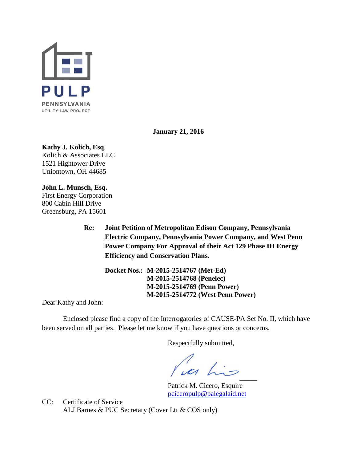

**January 21, 2016**

# **Kathy J. Kolich, Esq**.

Kolich & Associates LLC 1521 Hightower Drive Uniontown, OH 44685

**John L. Munsch, Esq.** First Energy Corporation 800 Cabin Hill Drive Greensburg, PA 15601

> **Re: Joint Petition of Metropolitan Edison Company, Pennsylvania Electric Company, Pennsylvania Power Company, and West Penn Power Company For Approval of their Act 129 Phase III Energy Efficiency and Conservation Plans.**

**Docket Nos.: M-2015-2514767 (Met-Ed) M-2015-2514768 (Penelec) M-2015-2514769 (Penn Power) M-2015-2514772 (West Penn Power)**

Dear Kathy and John:

Enclosed please find a copy of the Interrogatories of CAUSE-PA Set No. II, which have been served on all parties. Please let me know if you have questions or concerns.

Respectfully submitted,

uas his  $\overline{\phantom{a}}$ 

Patrick M. Cicero, Esquire [pciceropulp@palegalaid.net](mailto:pciceropulp@palegalaid.net)

CC: Certificate of Service ALJ Barnes & PUC Secretary (Cover Ltr & COS only)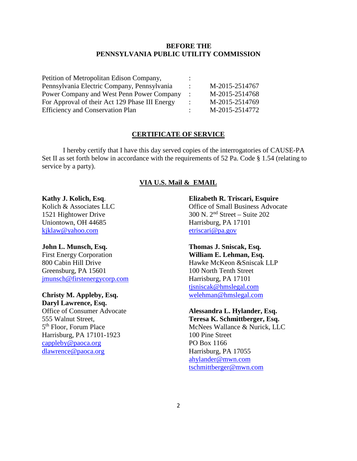## **BEFORE THE PENNSYLVANIA PUBLIC UTILITY COMMISSION**

| Petition of Metropolitan Edison Company,       |                |
|------------------------------------------------|----------------|
| Pennsylvania Electric Company, Pennsylvania    | M-2015-2514767 |
| Power Company and West Penn Power Company      | M-2015-2514768 |
| For Approval of their Act 129 Phase III Energy | M-2015-2514769 |
| <b>Efficiency and Conservation Plan</b>        | M-2015-2514772 |

## **CERTIFICATE OF SERVICE**

I hereby certify that I have this day served copies of the interrogatories of CAUSE-PA Set II as set forth below in accordance with the requirements of 52 Pa. Code § 1.54 (relating to service by a party).

## **VIA U.S. Mail & EMAIL**

## **Kathy J. Kolich, Esq**.

Kolich & Associates LLC 1521 Hightower Drive Uniontown, OH 44685 [kjklaw@yahoo.com](mailto:kjklaw@yahoo.com)

#### **John L. Munsch, Esq.**

First Energy Corporation 800 Cabin Hill Drive Greensburg, PA 15601 [jmunsch@firstenergycorp.com](mailto:jmunsch@firstenergycorp.com)

# **Christy M. Appleby, Esq.**

**Daryl Lawrence, Esq.** Office of Consumer Advocate 555 Walnut Street, 5th Floor, Forum Place Harrisburg, PA 17101-1923 [cappleby@paoca.org](mailto:cappleby@paoca.org) [dlawrence@paoca.org](mailto:dlawrence@paoca.org)

#### **Elizabeth R. Triscari, Esquire**

Office of Small Business Advocate 300 N. 2nd Street – Suite 202 Harrisburg, PA 17101 [etriscari@pa.gov](mailto:etriscari@pa.gov)

## **Thomas J. Sniscak, Esq. William E. Lehman, Esq.**

Hawke McKeon &Sniscak LLP 100 North Tenth Street Harrisburg, PA 17101 [tjsniscak@hmslegal.com](mailto:tjsniscak@hmslegal.com) [welehman@hmslegal.com](mailto:welehman@hmslegal.com)

## **Alessandra L. Hylander, Esq.**

**Teresa K. Schmittberger, Esq.** McNees Wallance & Nurick, LLC 100 Pine Street PO Box 1166 Harrisburg, PA 17055 [ahylander@mwn.com](mailto:ahylander@mwn.com) [tschmittberger@mwn.com](mailto:tschmittberger@mwn.com)